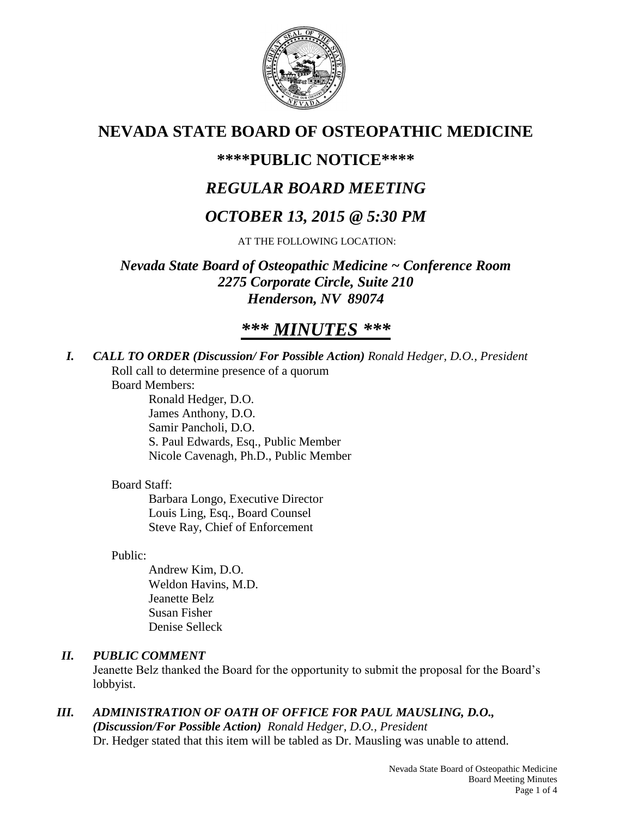

# **NEVADA STATE BOARD OF OSTEOPATHIC MEDICINE**

# **\*\*\*\*PUBLIC NOTICE\*\*\*\***

# *REGULAR BOARD MEETING*

# *OCTOBER 13, 2015 @ 5:30 PM*

AT THE FOLLOWING LOCATION:

*Nevada State Board of Osteopathic Medicine ~ Conference Room 2275 Corporate Circle, Suite 210 Henderson, NV 89074*

# *\*\*\* MINUTES \*\*\**

*I. CALL TO ORDER (Discussion/ For Possible Action) Ronald Hedger, D.O., President* Roll call to determine presence of a quorum

Board Members:

Ronald Hedger, D.O. James Anthony, D.O. Samir Pancholi, D.O. S. Paul Edwards, Esq., Public Member Nicole Cavenagh, Ph.D., Public Member

# Board Staff:

Barbara Longo, Executive Director Louis Ling, Esq., Board Counsel Steve Ray, Chief of Enforcement

Public:

Andrew Kim, D.O. Weldon Havins, M.D. Jeanette Belz Susan Fisher Denise Selleck

# *II. PUBLIC COMMENT*

Jeanette Belz thanked the Board for the opportunity to submit the proposal for the Board's lobbyist.

*III. ADMINISTRATION OF OATH OF OFFICE FOR PAUL MAUSLING, D.O., (Discussion/For Possible Action) Ronald Hedger, D.O., President* Dr. Hedger stated that this item will be tabled as Dr. Mausling was unable to attend.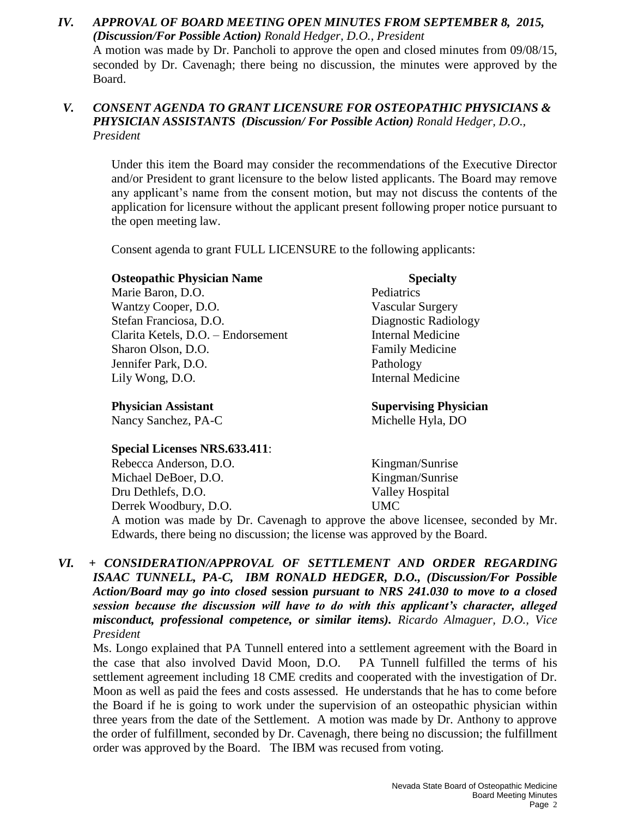## *IV. APPROVAL OF BOARD MEETING OPEN MINUTES FROM SEPTEMBER 8, 2015, (Discussion/For Possible Action) Ronald Hedger, D.O., President* A motion was made by Dr. Pancholi to approve the open and closed minutes from 09/08/15, seconded by Dr. Cavenagh; there being no discussion, the minutes were approved by the Board.

# *V. CONSENT AGENDA TO GRANT LICENSURE FOR OSTEOPATHIC PHYSICIANS & PHYSICIAN ASSISTANTS (Discussion/ For Possible Action) Ronald Hedger, D.O., President*

Under this item the Board may consider the recommendations of the Executive Director and/or President to grant licensure to the below listed applicants. The Board may remove any applicant's name from the consent motion, but may not discuss the contents of the application for licensure without the applicant present following proper notice pursuant to the open meeting law.

Consent agenda to grant FULL LICENSURE to the following applicants:

## **Osteopathic Physician Name Specialty**

Marie Baron, D.O. Pediatrics Wantzy Cooper, D.O. Vascular Surgery Stefan Franciosa, D.O. Diagnostic Radiology Clarita Ketels, D.O. – Endorsement Internal Medicine Sharon Olson, D.O. **Family Medicine** Jennifer Park, D.O. Pathology Lily Wong, D.O. **Internal Medicine** 

Nancy Sanchez, PA-C Michelle Hyla, DO

# **Special Licenses NRS.633.411**:

Rebecca Anderson, D.O. Kingman/Sunrise Michael DeBoer, D.O. Kingman/Sunrise Dru Dethlefs, D.O. Valley Hospital Derrek Woodbury, D.O. UMC

**Physician Assistant Supervising Physician** 

A motion was made by Dr. Cavenagh to approve the above licensee, seconded by Mr. Edwards, there being no discussion; the license was approved by the Board.

*VI. + CONSIDERATION/APPROVAL OF SETTLEMENT AND ORDER REGARDING ISAAC TUNNELL, PA-C, IBM RONALD HEDGER, D.O., (Discussion/For Possible Action/Board may go into closed* **session** *pursuant to NRS 241.030 to move to a closed session because the discussion will have to do with this applicant's character, alleged misconduct, professional competence, or similar items). Ricardo Almaguer, D.O., Vice President*

Ms. Longo explained that PA Tunnell entered into a settlement agreement with the Board in the case that also involved David Moon, D.O. PA Tunnell fulfilled the terms of his settlement agreement including 18 CME credits and cooperated with the investigation of Dr. Moon as well as paid the fees and costs assessed. He understands that he has to come before the Board if he is going to work under the supervision of an osteopathic physician within three years from the date of the Settlement. A motion was made by Dr. Anthony to approve the order of fulfillment, seconded by Dr. Cavenagh, there being no discussion; the fulfillment order was approved by the Board. The IBM was recused from voting.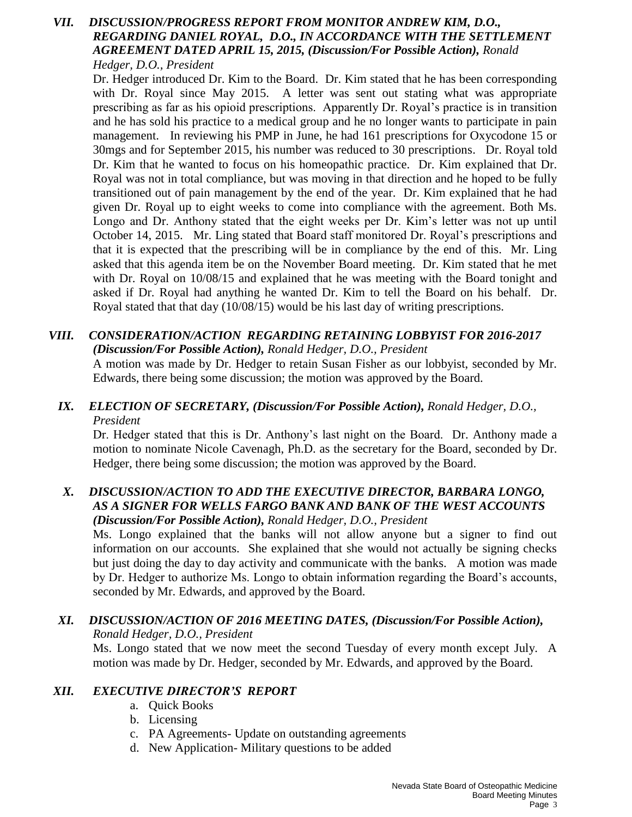## *VII. DISCUSSION/PROGRESS REPORT FROM MONITOR ANDREW KIM, D.O., REGARDING DANIEL ROYAL, D.O., IN ACCORDANCE WITH THE SETTLEMENT AGREEMENT DATED APRIL 15, 2015, (Discussion/For Possible Action), Ronald Hedger, D.O., President*

Dr. Hedger introduced Dr. Kim to the Board. Dr. Kim stated that he has been corresponding with Dr. Royal since May 2015. A letter was sent out stating what was appropriate prescribing as far as his opioid prescriptions. Apparently Dr. Royal's practice is in transition and he has sold his practice to a medical group and he no longer wants to participate in pain management. In reviewing his PMP in June, he had 161 prescriptions for Oxycodone 15 or 30mgs and for September 2015, his number was reduced to 30 prescriptions. Dr. Royal told Dr. Kim that he wanted to focus on his homeopathic practice. Dr. Kim explained that Dr. Royal was not in total compliance, but was moving in that direction and he hoped to be fully transitioned out of pain management by the end of the year. Dr. Kim explained that he had given Dr. Royal up to eight weeks to come into compliance with the agreement. Both Ms. Longo and Dr. Anthony stated that the eight weeks per Dr. Kim's letter was not up until October 14, 2015. Mr. Ling stated that Board staff monitored Dr. Royal's prescriptions and that it is expected that the prescribing will be in compliance by the end of this. Mr. Ling asked that this agenda item be on the November Board meeting. Dr. Kim stated that he met with Dr. Royal on  $10/08/15$  and explained that he was meeting with the Board tonight and asked if Dr. Royal had anything he wanted Dr. Kim to tell the Board on his behalf. Dr. Royal stated that that day (10/08/15) would be his last day of writing prescriptions.

#### *VIII. CONSIDERATION/ACTION REGARDING RETAINING LOBBYIST FOR 2016-2017 (Discussion/For Possible Action), Ronald Hedger, D.O., President*

A motion was made by Dr. Hedger to retain Susan Fisher as our lobbyist, seconded by Mr. Edwards, there being some discussion; the motion was approved by the Board.

## *IX. ELECTION OF SECRETARY, (Discussion/For Possible Action), Ronald Hedger, D.O., President*

Dr. Hedger stated that this is Dr. Anthony's last night on the Board. Dr. Anthony made a motion to nominate Nicole Cavenagh, Ph.D. as the secretary for the Board, seconded by Dr. Hedger, there being some discussion; the motion was approved by the Board.

## *X. DISCUSSION/ACTION TO ADD THE EXECUTIVE DIRECTOR, BARBARA LONGO, AS A SIGNER FOR WELLS FARGO BANK AND BANK OF THE WEST ACCOUNTS (Discussion/For Possible Action), Ronald Hedger, D.O., President*

Ms. Longo explained that the banks will not allow anyone but a signer to find out information on our accounts. She explained that she would not actually be signing checks but just doing the day to day activity and communicate with the banks. A motion was made by Dr. Hedger to authorize Ms. Longo to obtain information regarding the Board's accounts, seconded by Mr. Edwards, and approved by the Board.

# *XI. DISCUSSION/ACTION OF 2016 MEETING DATES, (Discussion/For Possible Action), Ronald Hedger, D.O., President*

Ms. Longo stated that we now meet the second Tuesday of every month except July. A motion was made by Dr. Hedger, seconded by Mr. Edwards, and approved by the Board.

# *XII. EXECUTIVE DIRECTOR'S REPORT*

- a. Quick Books
- b. Licensing
- c. PA Agreements- Update on outstanding agreements
- d. New Application- Military questions to be added